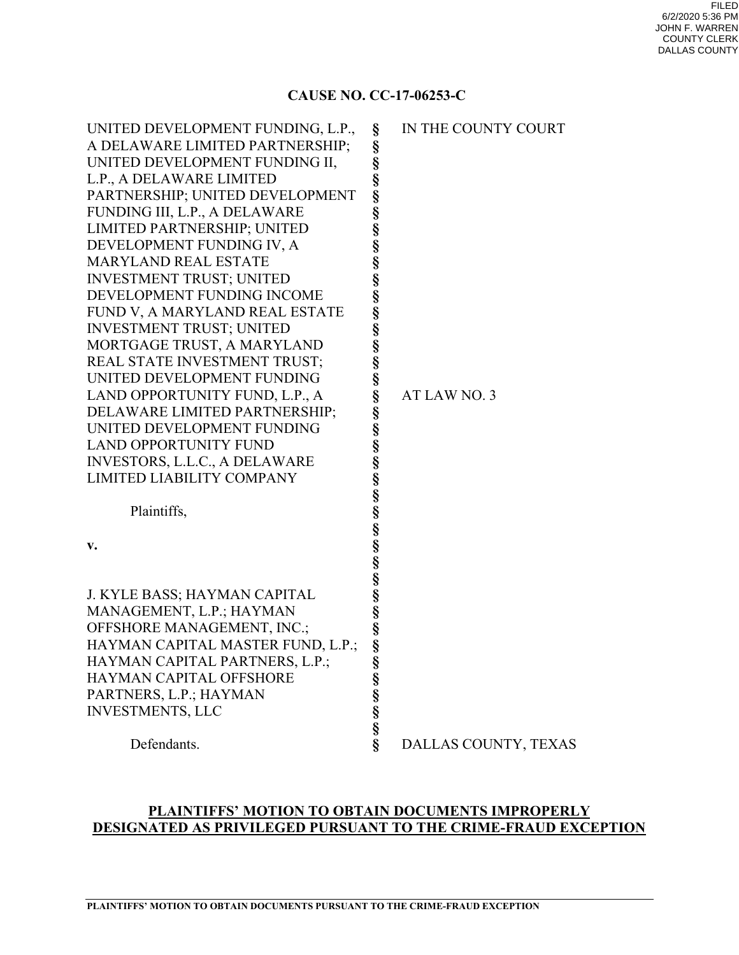## **CAUSE NO. CC-17-06253-C**

| UNITED DEVELOPMENT FUNDING, L.P.,    | §                             | IN THE COUNTY COURT  |
|--------------------------------------|-------------------------------|----------------------|
| A DELAWARE LIMITED PARTNERSHIP;      |                               |                      |
| UNITED DEVELOPMENT FUNDING II,       |                               |                      |
| L.P., A DELAWARE LIMITED             |                               |                      |
| PARTNERSHIP; UNITED DEVELOPMENT      |                               |                      |
| FUNDING III, L.P., A DELAWARE        |                               |                      |
| LIMITED PARTNERSHIP; UNITED          |                               |                      |
| DEVELOPMENT FUNDING IV, A            |                               |                      |
| MARYLAND REAL ESTATE                 |                               |                      |
| <b>INVESTMENT TRUST; UNITED</b>      |                               |                      |
| DEVELOPMENT FUNDING INCOME           |                               |                      |
| FUND V, A MARYLAND REAL ESTATE       |                               |                      |
| <b>INVESTMENT TRUST; UNITED</b>      |                               |                      |
| MORTGAGE TRUST, A MARYLAND           |                               |                      |
| REAL STATE INVESTMENT TRUST;         |                               |                      |
| UNITED DEVELOPMENT FUNDING           |                               |                      |
| LAND OPPORTUNITY FUND, L.P., A       |                               | AT LAW NO. 3         |
| DELAWARE LIMITED PARTNERSHIP;        |                               |                      |
| UNITED DEVELOPMENT FUNDING           |                               |                      |
| <b>LAND OPPORTUNITY FUND</b>         |                               |                      |
| <b>INVESTORS, L.L.C., A DELAWARE</b> |                               |                      |
| LIMITED LIABILITY COMPANY            |                               |                      |
|                                      |                               |                      |
| Plaintiffs,                          |                               |                      |
|                                      |                               |                      |
| v.                                   |                               |                      |
|                                      |                               |                      |
|                                      |                               |                      |
| J. KYLE BASS; HAYMAN CAPITAL         |                               |                      |
| MANAGEMENT, L.P.; HAYMAN             |                               |                      |
| OFFSHORE MANAGEMENT, INC.;           |                               |                      |
| HAYMAN CAPITAL MASTER FUND, L.P.;    |                               |                      |
| HAYMAN CAPITAL PARTNERS, L.P.;       |                               |                      |
| HAYMAN CAPITAL OFFSHORE              |                               |                      |
| PARTNERS, L.P.; HAYMAN               |                               |                      |
| <b>INVESTMENTS, LLC</b>              |                               |                      |
|                                      | So So So So So                |                      |
| Defendants.                          | $\overline{\hat{\mathbf{S}}}$ | DALLAS COUNTY, TEXAS |
|                                      |                               |                      |

## **PLAINTIFFS' MOTION TO OBTAIN DOCUMENTS IMPROPERLY DESIGNATED AS PRIVILEGED PURSUANT TO THE CRIME-FRAUD EXCEPTION**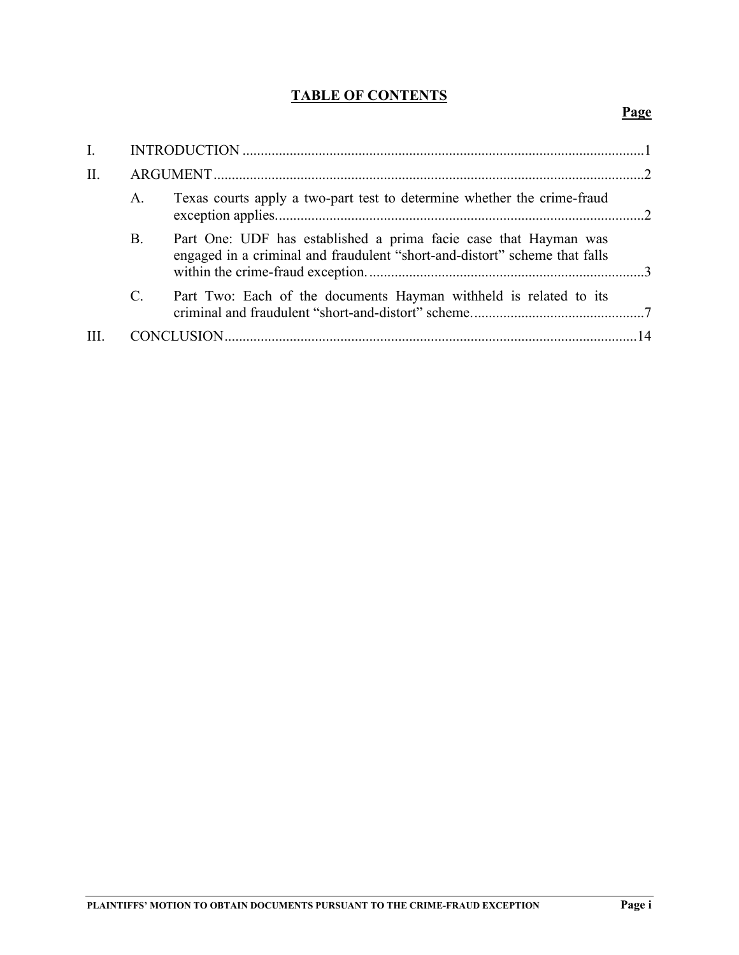# **TABLE OF CONTENTS**

# **Page**

| $\mathbf{I}$ . |                |                                                                                                                                                |  |
|----------------|----------------|------------------------------------------------------------------------------------------------------------------------------------------------|--|
| II.            |                |                                                                                                                                                |  |
|                | A.             | Texas courts apply a two-part test to determine whether the crime-fraud                                                                        |  |
|                | B.             | Part One: UDF has established a prima facie case that Hayman was<br>engaged in a criminal and fraudulent "short-and-distort" scheme that falls |  |
|                | $\mathbf{C}$ . | Part Two: Each of the documents Hayman withheld is related to its                                                                              |  |
|                |                |                                                                                                                                                |  |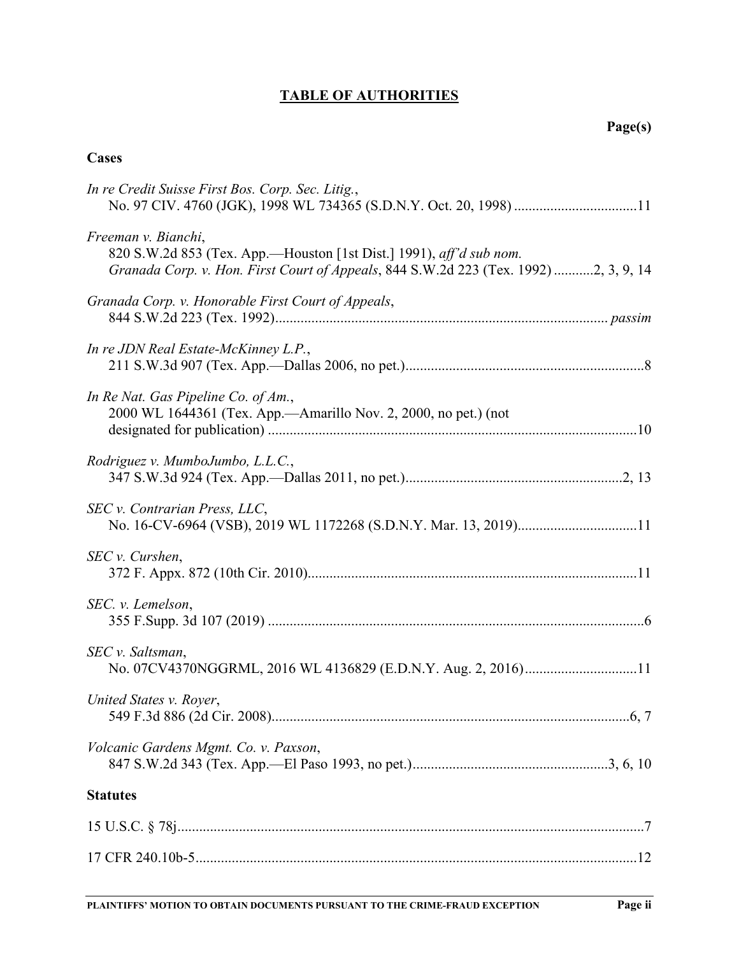# **TABLE OF AUTHORITIES**

# **Cases**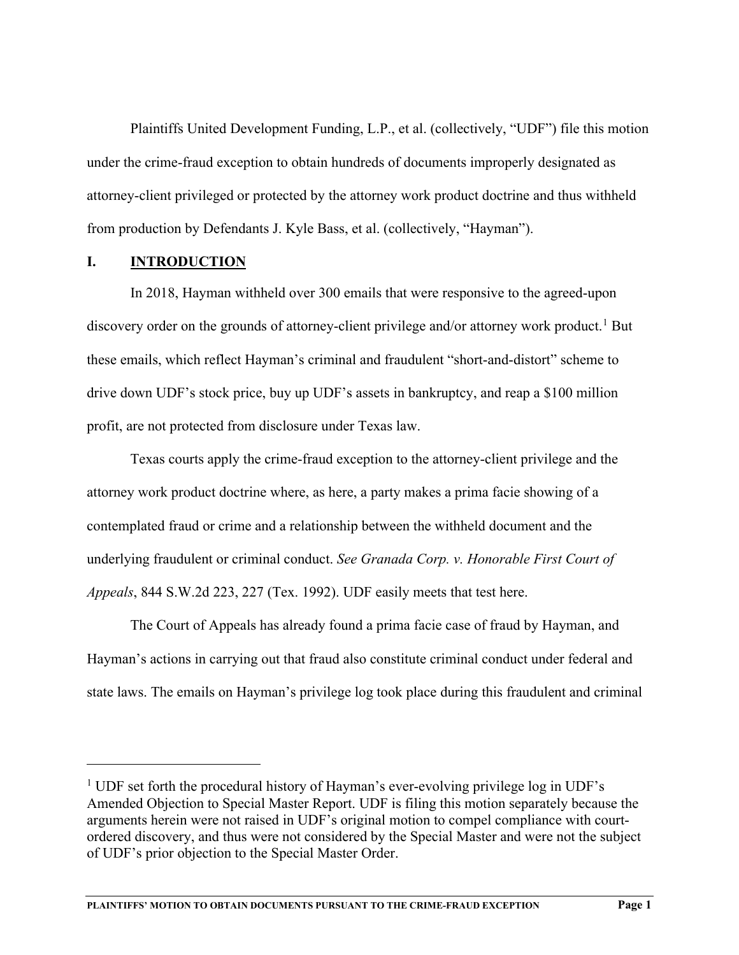Plaintiffs United Development Funding, L.P., et al. (collectively, "UDF") file this motion under the crime-fraud exception to obtain hundreds of documents improperly designated as attorney-client privileged or protected by the attorney work product doctrine and thus withheld from production by Defendants J. Kyle Bass, et al. (collectively, "Hayman").

#### **I. INTRODUCTION**

In 2018, Hayman withheld over 300 emails that were responsive to the agreed-upon discovery order on the grounds of attorney-client privilege and/or attorney work product.<sup>[1](#page-4-0)</sup> But these emails, which reflect Hayman's criminal and fraudulent "short-and-distort" scheme to drive down UDF's stock price, buy up UDF's assets in bankruptcy, and reap a \$100 million profit, are not protected from disclosure under Texas law.

Texas courts apply the crime-fraud exception to the attorney-client privilege and the attorney work product doctrine where, as here, a party makes a prima facie showing of a contemplated fraud or crime and a relationship between the withheld document and the underlying fraudulent or criminal conduct. *See Granada Corp. v. Honorable First Court of Appeals*, 844 S.W.2d 223, 227 (Tex. 1992). UDF easily meets that test here.

The Court of Appeals has already found a prima facie case of fraud by Hayman, and Hayman's actions in carrying out that fraud also constitute criminal conduct under federal and state laws. The emails on Hayman's privilege log took place during this fraudulent and criminal

<span id="page-4-0"></span><sup>&</sup>lt;sup>1</sup> UDF set forth the procedural history of Hayman's ever-evolving privilege log in UDF's Amended Objection to Special Master Report. UDF is filing this motion separately because the arguments herein were not raised in UDF's original motion to compel compliance with courtordered discovery, and thus were not considered by the Special Master and were not the subject of UDF's prior objection to the Special Master Order.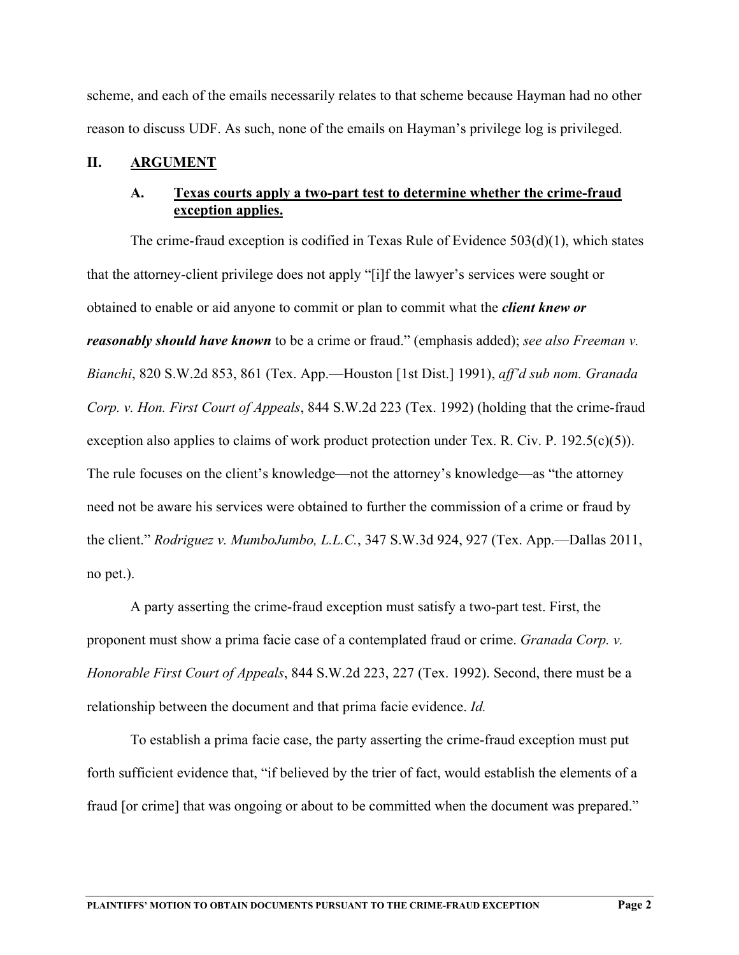scheme, and each of the emails necessarily relates to that scheme because Hayman had no other reason to discuss UDF. As such, none of the emails on Hayman's privilege log is privileged.

# **II. ARGUMENT**

## **A. Texas courts apply a two-part test to determine whether the crime-fraud exception applies.**

The crime-fraud exception is codified in Texas Rule of Evidence  $503(d)(1)$ , which states that the attorney-client privilege does not apply "[i]f the lawyer's services were sought or obtained to enable or aid anyone to commit or plan to commit what the *client knew or reasonably should have known* to be a crime or fraud." (emphasis added); *see also Freeman v. Bianchi*, 820 S.W.2d 853, 861 (Tex. App.—Houston [1st Dist.] 1991), *aff'd sub nom. Granada Corp. v. Hon. First Court of Appeals*, 844 S.W.2d 223 (Tex. 1992) (holding that the crime-fraud exception also applies to claims of work product protection under Tex. R. Civ. P. 192.5(c)(5)). The rule focuses on the client's knowledge—not the attorney's knowledge—as "the attorney need not be aware his services were obtained to further the commission of a crime or fraud by the client." *Rodriguez v. MumboJumbo, L.L.C.*, 347 S.W.3d 924, 927 (Tex. App.—Dallas 2011, no pet.).

A party asserting the crime-fraud exception must satisfy a two-part test. First, the proponent must show a prima facie case of a contemplated fraud or crime. *Granada Corp. v. Honorable First Court of Appeals*, 844 S.W.2d 223, 227 (Tex. 1992). Second, there must be a relationship between the document and that prima facie evidence. *Id.*

To establish a prima facie case, the party asserting the crime-fraud exception must put forth sufficient evidence that, "if believed by the trier of fact, would establish the elements of a fraud [or crime] that was ongoing or about to be committed when the document was prepared."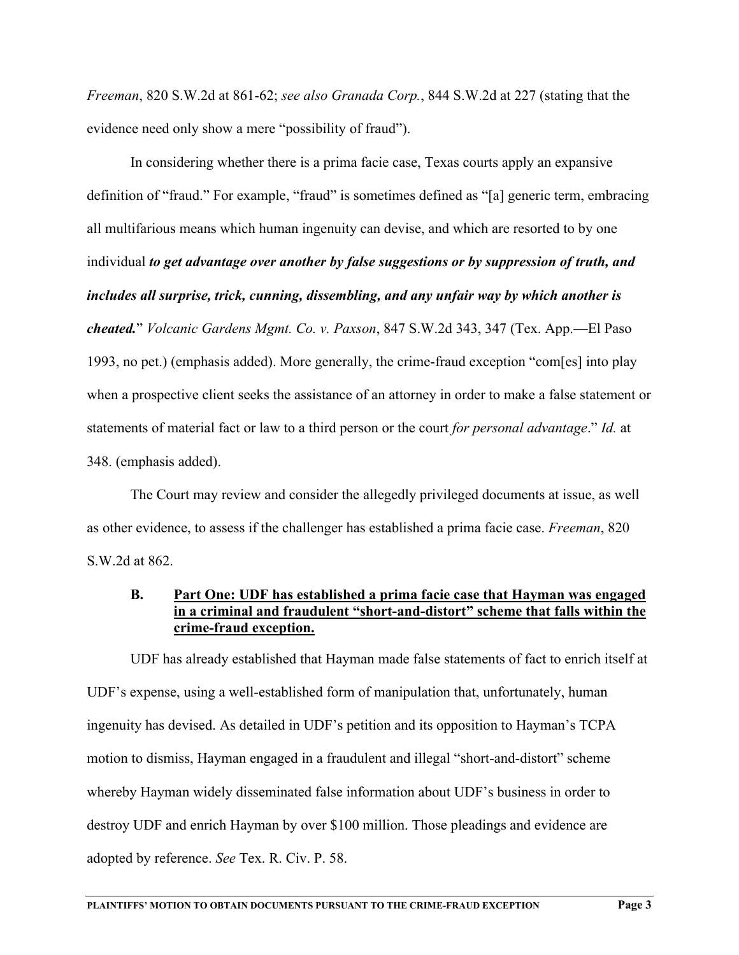*Freeman*, 820 S.W.2d at 861-62; *see also Granada Corp.*, 844 S.W.2d at 227 (stating that the evidence need only show a mere "possibility of fraud").

In considering whether there is a prima facie case, Texas courts apply an expansive definition of "fraud." For example, "fraud" is sometimes defined as "[a] generic term, embracing all multifarious means which human ingenuity can devise, and which are resorted to by one individual *to get advantage over another by false suggestions or by suppression of truth, and includes all surprise, trick, cunning, dissembling, and any unfair way by which another is cheated.*" *Volcanic Gardens Mgmt. Co. v. Paxson*, 847 S.W.2d 343, 347 (Tex. App.—El Paso 1993, no pet.) (emphasis added). More generally, the crime-fraud exception "com[es] into play when a prospective client seeks the assistance of an attorney in order to make a false statement or statements of material fact or law to a third person or the court *for personal advantage*." *Id.* at 348. (emphasis added).

The Court may review and consider the allegedly privileged documents at issue, as well as other evidence, to assess if the challenger has established a prima facie case. *Freeman*, 820 S.W.2d at 862.

#### **B. Part One: UDF has established a prima facie case that Hayman was engaged in a criminal and fraudulent "short-and-distort" scheme that falls within the crime-fraud exception.**

UDF has already established that Hayman made false statements of fact to enrich itself at UDF's expense, using a well-established form of manipulation that, unfortunately, human ingenuity has devised. As detailed in UDF's petition and its opposition to Hayman's TCPA motion to dismiss, Hayman engaged in a fraudulent and illegal "short-and-distort" scheme whereby Hayman widely disseminated false information about UDF's business in order to destroy UDF and enrich Hayman by over \$100 million. Those pleadings and evidence are adopted by reference. *See* Tex. R. Civ. P. 58.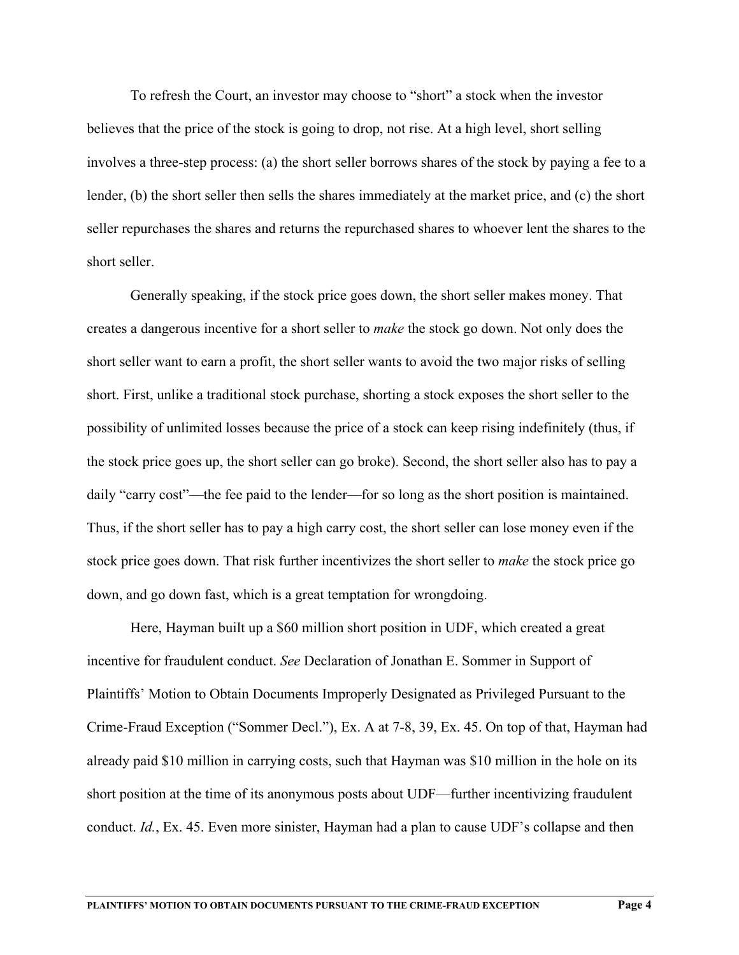To refresh the Court, an investor may choose to "short" a stock when the investor believes that the price of the stock is going to drop, not rise. At a high level, short selling involves a three-step process: (a) the short seller borrows shares of the stock by paying a fee to a lender, (b) the short seller then sells the shares immediately at the market price, and (c) the short seller repurchases the shares and returns the repurchased shares to whoever lent the shares to the short seller.

Generally speaking, if the stock price goes down, the short seller makes money. That creates a dangerous incentive for a short seller to *make* the stock go down. Not only does the short seller want to earn a profit, the short seller wants to avoid the two major risks of selling short. First, unlike a traditional stock purchase, shorting a stock exposes the short seller to the possibility of unlimited losses because the price of a stock can keep rising indefinitely (thus, if the stock price goes up, the short seller can go broke). Second, the short seller also has to pay a daily "carry cost"—the fee paid to the lender—for so long as the short position is maintained. Thus, if the short seller has to pay a high carry cost, the short seller can lose money even if the stock price goes down. That risk further incentivizes the short seller to *make* the stock price go down, and go down fast, which is a great temptation for wrongdoing.

Here, Hayman built up a \$60 million short position in UDF, which created a great incentive for fraudulent conduct. *See* Declaration of Jonathan E. Sommer in Support of Plaintiffs' Motion to Obtain Documents Improperly Designated as Privileged Pursuant to the Crime-Fraud Exception ("Sommer Decl."), Ex. A at 7-8, 39, Ex. 45. On top of that, Hayman had already paid \$10 million in carrying costs, such that Hayman was \$10 million in the hole on its short position at the time of its anonymous posts about UDF—further incentivizing fraudulent conduct. *Id.*, Ex. 45. Even more sinister, Hayman had a plan to cause UDF's collapse and then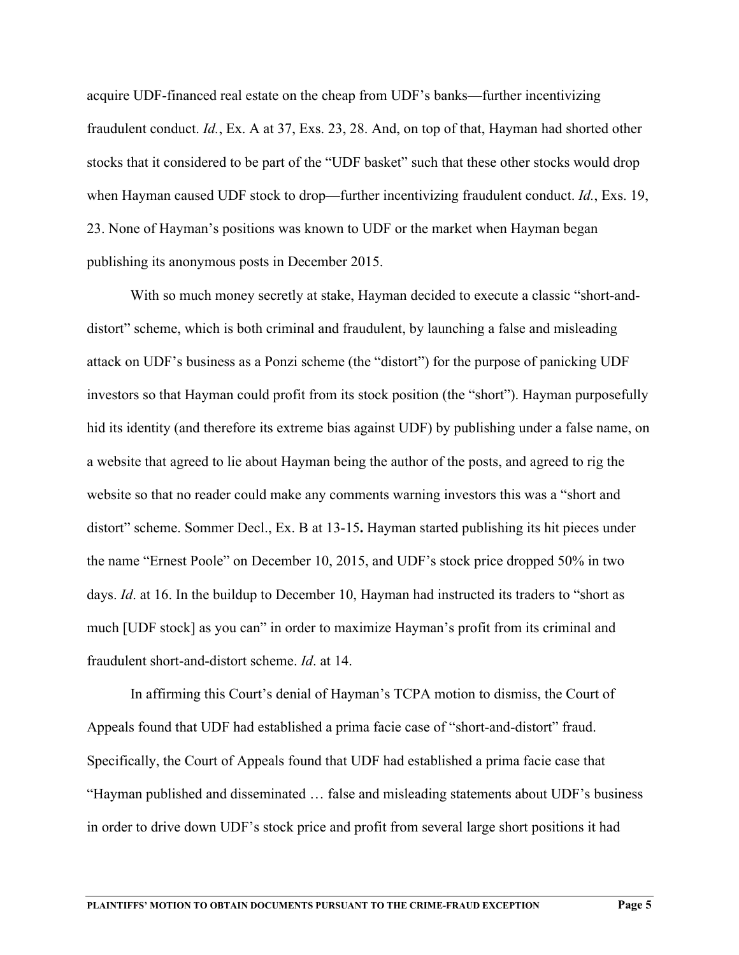acquire UDF-financed real estate on the cheap from UDF's banks—further incentivizing fraudulent conduct. *Id.*, Ex. A at 37, Exs. 23, 28. And, on top of that, Hayman had shorted other stocks that it considered to be part of the "UDF basket" such that these other stocks would drop when Hayman caused UDF stock to drop—further incentivizing fraudulent conduct. *Id.*, Exs. 19, 23. None of Hayman's positions was known to UDF or the market when Hayman began publishing its anonymous posts in December 2015.

With so much money secretly at stake, Hayman decided to execute a classic "short-anddistort" scheme, which is both criminal and fraudulent, by launching a false and misleading attack on UDF's business as a Ponzi scheme (the "distort") for the purpose of panicking UDF investors so that Hayman could profit from its stock position (the "short"). Hayman purposefully hid its identity (and therefore its extreme bias against UDF) by publishing under a false name, on a website that agreed to lie about Hayman being the author of the posts, and agreed to rig the website so that no reader could make any comments warning investors this was a "short and distort" scheme. Sommer Decl., Ex. B at 13-15**.** Hayman started publishing its hit pieces under the name "Ernest Poole" on December 10, 2015, and UDF's stock price dropped 50% in two days. *Id*. at 16. In the buildup to December 10, Hayman had instructed its traders to "short as much [UDF stock] as you can" in order to maximize Hayman's profit from its criminal and fraudulent short-and-distort scheme. *Id*. at 14.

In affirming this Court's denial of Hayman's TCPA motion to dismiss, the Court of Appeals found that UDF had established a prima facie case of "short-and-distort" fraud. Specifically, the Court of Appeals found that UDF had established a prima facie case that "Hayman published and disseminated … false and misleading statements about UDF's business in order to drive down UDF's stock price and profit from several large short positions it had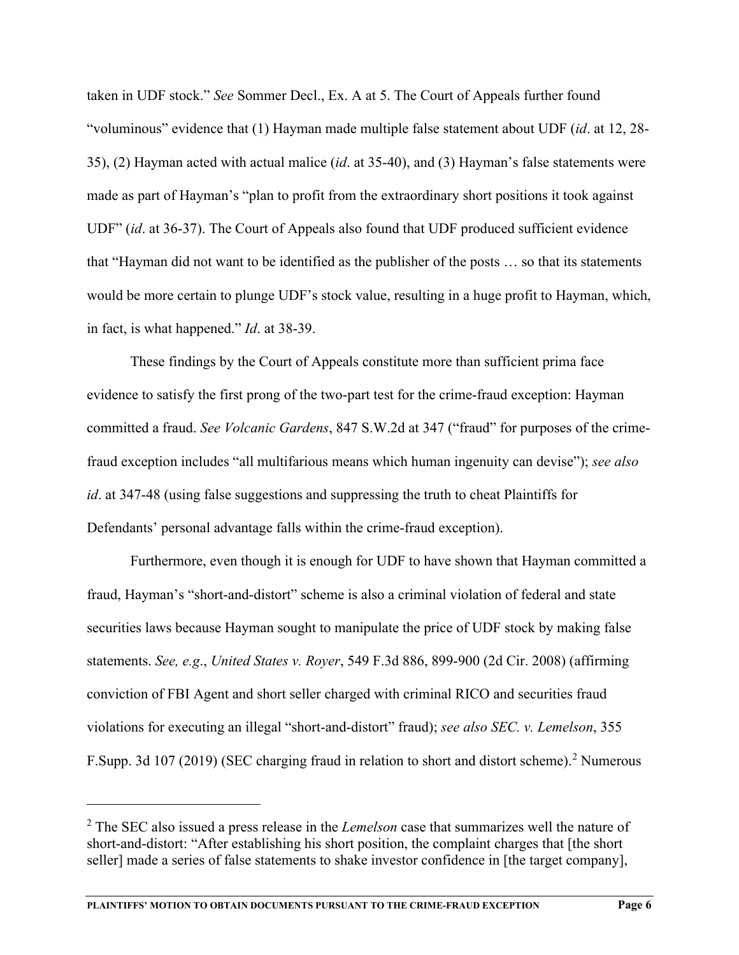taken in UDF stock." *See* Sommer Decl., Ex. A at 5. The Court of Appeals further found "voluminous" evidence that (1) Hayman made multiple false statement about UDF (*id*. at 12, 28- 35), (2) Hayman acted with actual malice (*id*. at 35-40), and (3) Hayman's false statements were made as part of Hayman's "plan to profit from the extraordinary short positions it took against UDF" (*id*. at 36-37). The Court of Appeals also found that UDF produced sufficient evidence that "Hayman did not want to be identified as the publisher of the posts … so that its statements would be more certain to plunge UDF's stock value, resulting in a huge profit to Hayman, which, in fact, is what happened." *Id*. at 38-39.

These findings by the Court of Appeals constitute more than sufficient prima face evidence to satisfy the first prong of the two-part test for the crime-fraud exception: Hayman committed a fraud. *See Volcanic Gardens*, 847 S.W.2d at 347 ("fraud" for purposes of the crimefraud exception includes "all multifarious means which human ingenuity can devise"); *see also id*. at 347-48 (using false suggestions and suppressing the truth to cheat Plaintiffs for Defendants' personal advantage falls within the crime-fraud exception).

Furthermore, even though it is enough for UDF to have shown that Hayman committed a fraud, Hayman's "short-and-distort" scheme is also a criminal violation of federal and state securities laws because Hayman sought to manipulate the price of UDF stock by making false statements. *See, e.g*., *United States v. Royer*, 549 F.3d 886, 899-900 (2d Cir. 2008) (affirming conviction of FBI Agent and short seller charged with criminal RICO and securities fraud violations for executing an illegal "short-and-distort" fraud); *see also SEC. v. Lemelson*, 355 F.Supp. 3d 107 ([2](#page-9-0)019) (SEC charging fraud in relation to short and distort scheme).<sup>2</sup> Numerous

<span id="page-9-0"></span><sup>2</sup> The SEC also issued a press release in the *Lemelson* case that summarizes well the nature of short-and-distort: "After establishing his short position, the complaint charges that [the short seller] made a series of false statements to shake investor confidence in [the target company],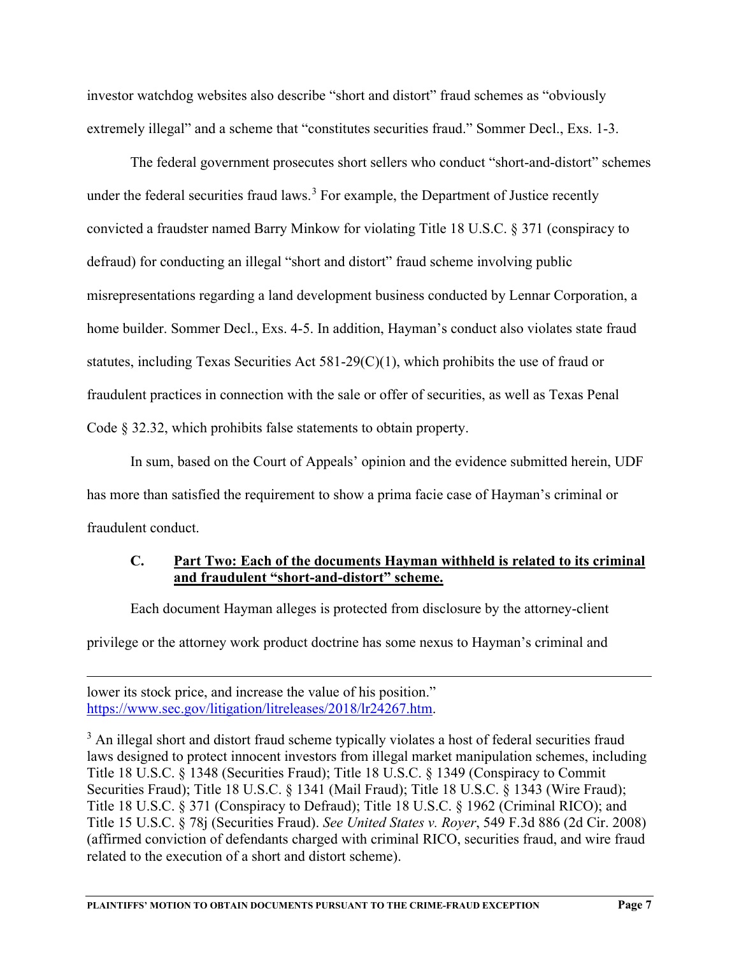investor watchdog websites also describe "short and distort" fraud schemes as "obviously extremely illegal" and a scheme that "constitutes securities fraud." Sommer Decl., Exs. 1-3.

The federal government prosecutes short sellers who conduct "short-and-distort" schemes under the federal securities fraud laws.<sup>[3](#page-10-0)</sup> For example, the Department of Justice recently convicted a fraudster named Barry Minkow for violating Title 18 U.S.C. § 371 (conspiracy to defraud) for conducting an illegal "short and distort" fraud scheme involving public misrepresentations regarding a land development business conducted by Lennar Corporation, a home builder. Sommer Decl., Exs. 4-5. In addition, Hayman's conduct also violates state fraud statutes, including Texas Securities Act 581-29(C)(1), which prohibits the use of fraud or fraudulent practices in connection with the sale or offer of securities, as well as Texas Penal Code § 32.32, which prohibits false statements to obtain property.

In sum, based on the Court of Appeals' opinion and the evidence submitted herein, UDF has more than satisfied the requirement to show a prima facie case of Hayman's criminal or fraudulent conduct.

# **C. Part Two: Each of the documents Hayman withheld is related to its criminal and fraudulent "short-and-distort" scheme.**

Each document Hayman alleges is protected from disclosure by the attorney-client

privilege or the attorney work product doctrine has some nexus to Hayman's criminal and

lower its stock price, and increase the value of his position." https://www.sec.gov/litigation/litreleases/2018/lr24267.htm.

<span id="page-10-0"></span><sup>3</sup> An illegal short and distort fraud scheme typically violates a host of federal securities fraud laws designed to protect innocent investors from illegal market manipulation schemes, including Title 18 U.S.C. § 1348 (Securities Fraud); Title 18 U.S.C. § 1349 (Conspiracy to Commit Securities Fraud); Title 18 U.S.C. § 1341 (Mail Fraud); Title 18 U.S.C. § 1343 (Wire Fraud); Title 18 U.S.C. § 371 (Conspiracy to Defraud); Title 18 U.S.C. § 1962 (Criminal RICO); and Title 15 U.S.C. § 78j (Securities Fraud). *See United States v. Royer*, 549 F.3d 886 (2d Cir. 2008) (affirmed conviction of defendants charged with criminal RICO, securities fraud, and wire fraud related to the execution of a short and distort scheme).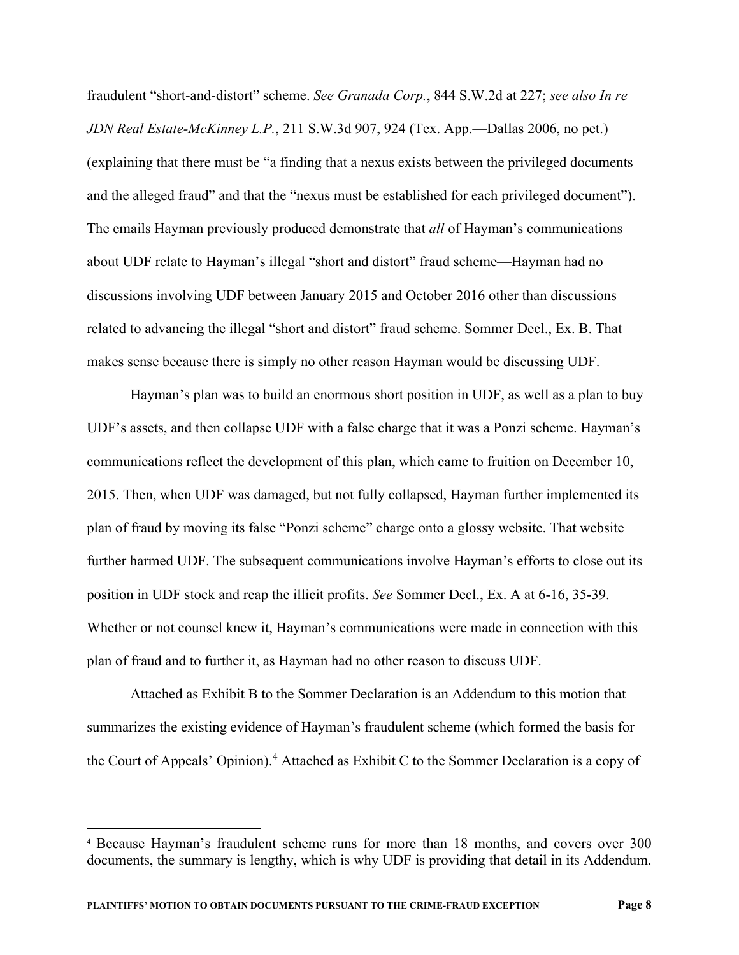fraudulent "short-and-distort" scheme. *See Granada Corp.*, 844 S.W.2d at 227; *see also In re JDN Real Estate-McKinney L.P.*, 211 S.W.3d 907, 924 (Tex. App.—Dallas 2006, no pet.) (explaining that there must be "a finding that a nexus exists between the privileged documents and the alleged fraud" and that the "nexus must be established for each privileged document"). The emails Hayman previously produced demonstrate that *all* of Hayman's communications about UDF relate to Hayman's illegal "short and distort" fraud scheme—Hayman had no discussions involving UDF between January 2015 and October 2016 other than discussions related to advancing the illegal "short and distort" fraud scheme. Sommer Decl., Ex. B. That makes sense because there is simply no other reason Hayman would be discussing UDF.

Hayman's plan was to build an enormous short position in UDF, as well as a plan to buy UDF's assets, and then collapse UDF with a false charge that it was a Ponzi scheme. Hayman's communications reflect the development of this plan, which came to fruition on December 10, 2015. Then, when UDF was damaged, but not fully collapsed, Hayman further implemented its plan of fraud by moving its false "Ponzi scheme" charge onto a glossy website. That website further harmed UDF. The subsequent communications involve Hayman's efforts to close out its position in UDF stock and reap the illicit profits. *See* Sommer Decl., Ex. A at 6-16, 35-39. Whether or not counsel knew it, Hayman's communications were made in connection with this plan of fraud and to further it, as Hayman had no other reason to discuss UDF.

Attached as Exhibit B to the Sommer Declaration is an Addendum to this motion that summarizes the existing evidence of Hayman's fraudulent scheme (which formed the basis for the Court of Appeals' Opinion). [4](#page-11-0) Attached as Exhibit C to the Sommer Declaration is a copy of

<span id="page-11-0"></span><sup>4</sup> Because Hayman's fraudulent scheme runs for more than 18 months, and covers over 300 documents, the summary is lengthy, which is why UDF is providing that detail in its Addendum.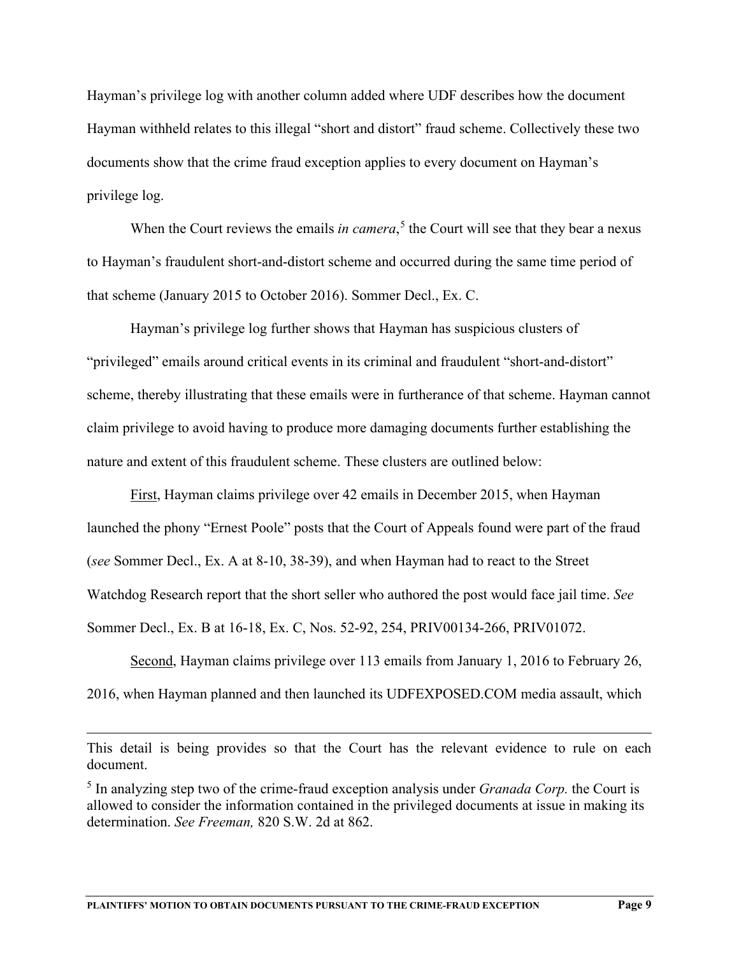Hayman's privilege log with another column added where UDF describes how the document Hayman withheld relates to this illegal "short and distort" fraud scheme. Collectively these two documents show that the crime fraud exception applies to every document on Hayman's privilege log.

When the Court reviews the emails *in camera*,<sup>[5](#page-12-0)</sup> the Court will see that they bear a nexus to Hayman's fraudulent short-and-distort scheme and occurred during the same time period of that scheme (January 2015 to October 2016). Sommer Decl., Ex. C.

Hayman's privilege log further shows that Hayman has suspicious clusters of "privileged" emails around critical events in its criminal and fraudulent "short-and-distort" scheme, thereby illustrating that these emails were in furtherance of that scheme. Hayman cannot claim privilege to avoid having to produce more damaging documents further establishing the nature and extent of this fraudulent scheme. These clusters are outlined below:

First, Hayman claims privilege over 42 emails in December 2015, when Hayman launched the phony "Ernest Poole" posts that the Court of Appeals found were part of the fraud (*see* Sommer Decl., Ex. A at 8-10, 38-39), and when Hayman had to react to the Street Watchdog Research report that the short seller who authored the post would face jail time. *See* Sommer Decl., Ex. B at 16-18, Ex. C, Nos. 52-92, 254, PRIV00134-266, PRIV01072.

Second, Hayman claims privilege over 113 emails from January 1, 2016 to February 26, 2016, when Hayman planned and then launched its UDFEXPOSED.COM media assault, which

This detail is being provides so that the Court has the relevant evidence to rule on each document.

<span id="page-12-0"></span><sup>5</sup> In analyzing step two of the crime-fraud exception analysis under *Granada Corp.* the Court is allowed to consider the information contained in the privileged documents at issue in making its determination. *See Freeman,* 820 S.W. 2d at 862.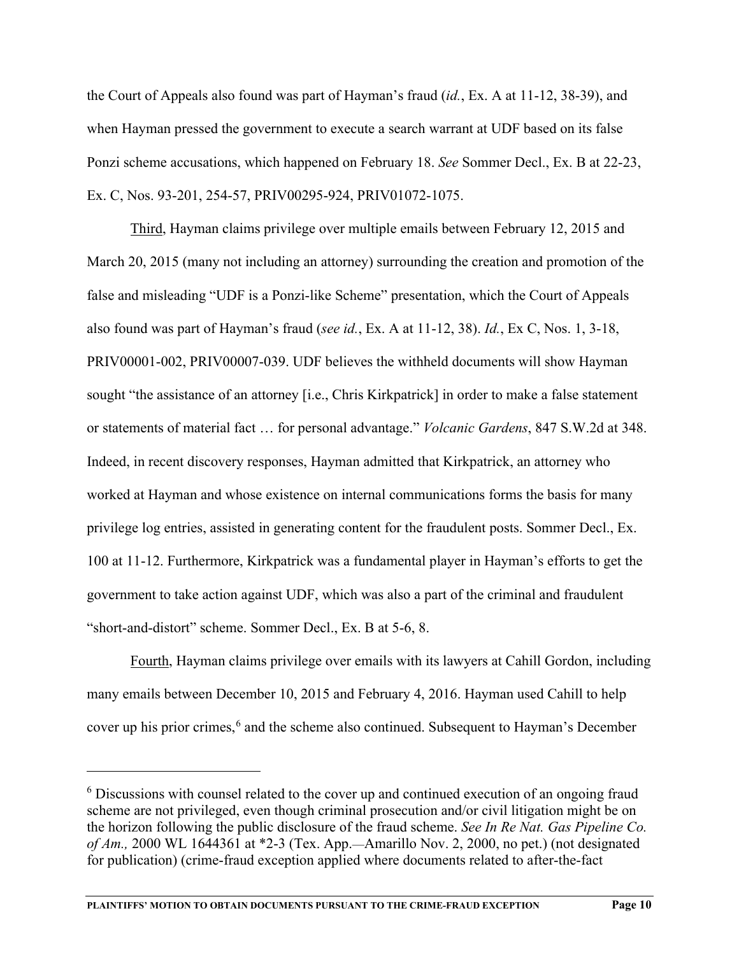the Court of Appeals also found was part of Hayman's fraud (*id.*, Ex. A at 11-12, 38-39), and when Hayman pressed the government to execute a search warrant at UDF based on its false Ponzi scheme accusations, which happened on February 18. *See* Sommer Decl., Ex. B at 22-23, Ex. C, Nos. 93-201, 254-57, PRIV00295-924, PRIV01072-1075.

Third, Hayman claims privilege over multiple emails between February 12, 2015 and March 20, 2015 (many not including an attorney) surrounding the creation and promotion of the false and misleading "UDF is a Ponzi-like Scheme" presentation, which the Court of Appeals also found was part of Hayman's fraud (*see id.*, Ex. A at 11-12, 38). *Id.*, Ex C, Nos. 1, 3-18, PRIV00001-002, PRIV00007-039. UDF believes the withheld documents will show Hayman sought "the assistance of an attorney [i.e., Chris Kirkpatrick] in order to make a false statement or statements of material fact … for personal advantage." *Volcanic Gardens*, 847 S.W.2d at 348. Indeed, in recent discovery responses, Hayman admitted that Kirkpatrick, an attorney who worked at Hayman and whose existence on internal communications forms the basis for many privilege log entries, assisted in generating content for the fraudulent posts. Sommer Decl., Ex. 100 at 11-12. Furthermore, Kirkpatrick was a fundamental player in Hayman's efforts to get the government to take action against UDF, which was also a part of the criminal and fraudulent "short-and-distort" scheme. Sommer Decl., Ex. B at 5-6, 8.

Fourth, Hayman claims privilege over emails with its lawyers at Cahill Gordon, including many emails between December 10, 2015 and February 4, 2016. Hayman used Cahill to help cover up his prior crimes,<sup>[6](#page-13-0)</sup> and the scheme also continued. Subsequent to Hayman's December

<span id="page-13-0"></span><sup>&</sup>lt;sup>6</sup> Discussions with counsel related to the cover up and continued execution of an ongoing fraud scheme are not privileged, even though criminal prosecution and/or civil litigation might be on the horizon following the public disclosure of the fraud scheme. *See In Re Nat. Gas Pipeline Co. of Am.,* 2000 WL 1644361 at \*2-3 (Tex. App.—Amarillo Nov. 2, 2000, no pet.) (not designated for publication) (crime-fraud exception applied where documents related to after-the-fact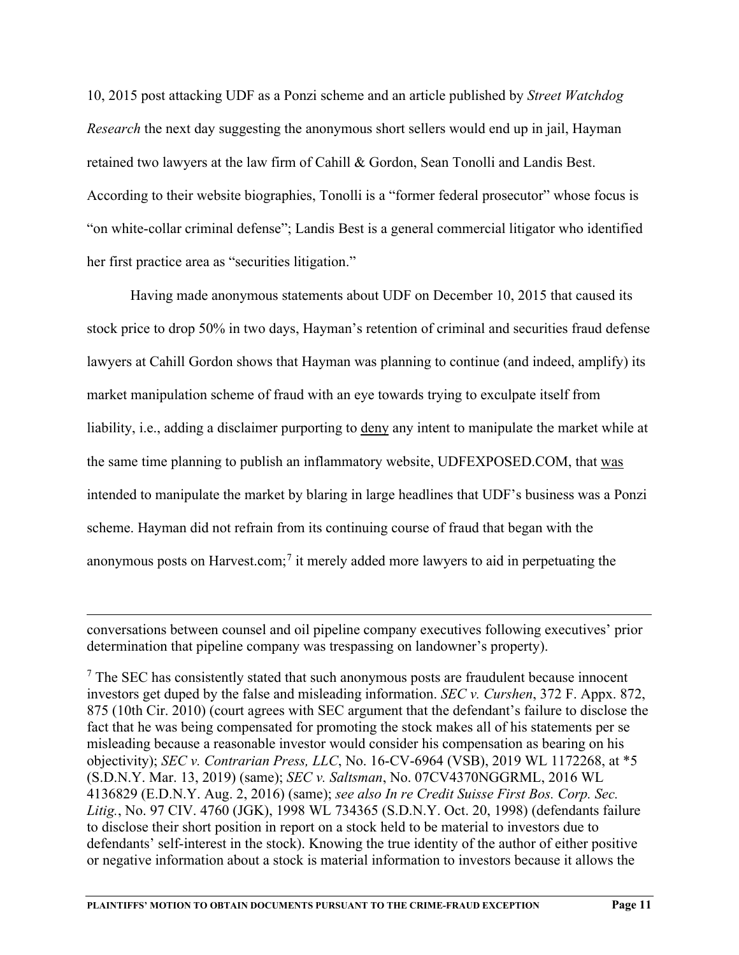10, 2015 post attacking UDF as a Ponzi scheme and an article published by *Street Watchdog Research* the next day suggesting the anonymous short sellers would end up in jail, Hayman retained two lawyers at the law firm of Cahill & Gordon, Sean Tonolli and Landis Best. According to their website biographies, Tonolli is a "former federal prosecutor" whose focus is "on white-collar criminal defense"; Landis Best is a general commercial litigator who identified her first practice area as "securities litigation."

Having made anonymous statements about UDF on December 10, 2015 that caused its stock price to drop 50% in two days, Hayman's retention of criminal and securities fraud defense lawyers at Cahill Gordon shows that Hayman was planning to continue (and indeed, amplify) its market manipulation scheme of fraud with an eye towards trying to exculpate itself from liability, i.e., adding a disclaimer purporting to deny any intent to manipulate the market while at the same time planning to publish an inflammatory website, UDFEXPOSED.COM, that was intended to manipulate the market by blaring in large headlines that UDF's business was a Ponzi scheme. Hayman did not refrain from its continuing course of fraud that began with the anonymous posts on Harvest.com;<sup>[7](#page-14-0)</sup> it merely added more lawyers to aid in perpetuating the

conversations between counsel and oil pipeline company executives following executives' prior determination that pipeline company was trespassing on landowner's property).

<span id="page-14-0"></span> $<sup>7</sup>$  The SEC has consistently stated that such anonymous posts are fraudulent because innocent</sup> investors get duped by the false and misleading information. *SEC v. Curshen*, 372 F. Appx. 872, 875 (10th Cir. 2010) (court agrees with SEC argument that the defendant's failure to disclose the fact that he was being compensated for promoting the stock makes all of his statements per se misleading because a reasonable investor would consider his compensation as bearing on his objectivity); *SEC v. Contrarian Press, LLC*, No. 16-CV-6964 (VSB), 2019 WL 1172268, at \*5 (S.D.N.Y. Mar. 13, 2019) (same); *SEC v. Saltsman*, No. 07CV4370NGGRML, 2016 WL 4136829 (E.D.N.Y. Aug. 2, 2016) (same); *see also In re Credit Suisse First Bos. Corp. Sec. Litig.*, No. 97 CIV. 4760 (JGK), 1998 WL 734365 (S.D.N.Y. Oct. 20, 1998) (defendants failure to disclose their short position in report on a stock held to be material to investors due to defendants' self-interest in the stock). Knowing the true identity of the author of either positive or negative information about a stock is material information to investors because it allows the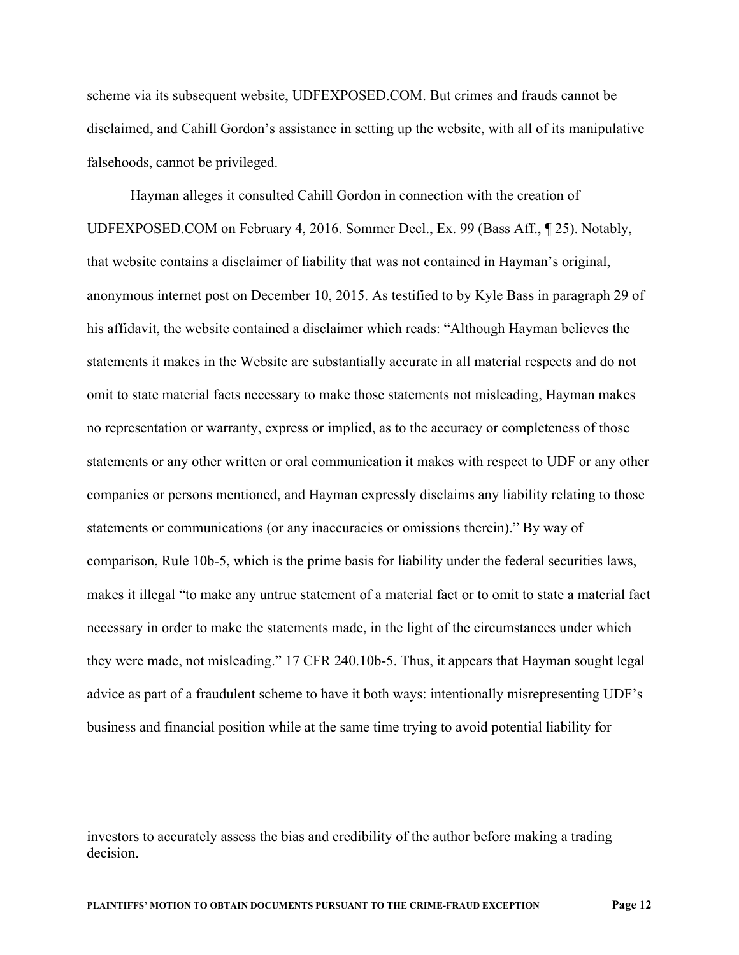scheme via its subsequent website, UDFEXPOSED.COM. But crimes and frauds cannot be disclaimed, and Cahill Gordon's assistance in setting up the website, with all of its manipulative falsehoods, cannot be privileged.

Hayman alleges it consulted Cahill Gordon in connection with the creation of UDFEXPOSED.COM on February 4, 2016. Sommer Decl., Ex. 99 (Bass Aff., ¶ 25). Notably, that website contains a disclaimer of liability that was not contained in Hayman's original, anonymous internet post on December 10, 2015. As testified to by Kyle Bass in paragraph 29 of his affidavit, the website contained a disclaimer which reads: "Although Hayman believes the statements it makes in the Website are substantially accurate in all material respects and do not omit to state material facts necessary to make those statements not misleading, Hayman makes no representation or warranty, express or implied, as to the accuracy or completeness of those statements or any other written or oral communication it makes with respect to UDF or any other companies or persons mentioned, and Hayman expressly disclaims any liability relating to those statements or communications (or any inaccuracies or omissions therein)." By way of comparison, Rule 10b-5, which is the prime basis for liability under the federal securities laws, makes it illegal "to make any untrue statement of a material fact or to omit to state a material fact necessary in order to make the statements made, in the light of the circumstances under which they were made, not misleading." 17 CFR 240.10b-5. Thus, it appears that Hayman sought legal advice as part of a fraudulent scheme to have it both ways: intentionally misrepresenting UDF's business and financial position while at the same time trying to avoid potential liability for

investors to accurately assess the bias and credibility of the author before making a trading decision.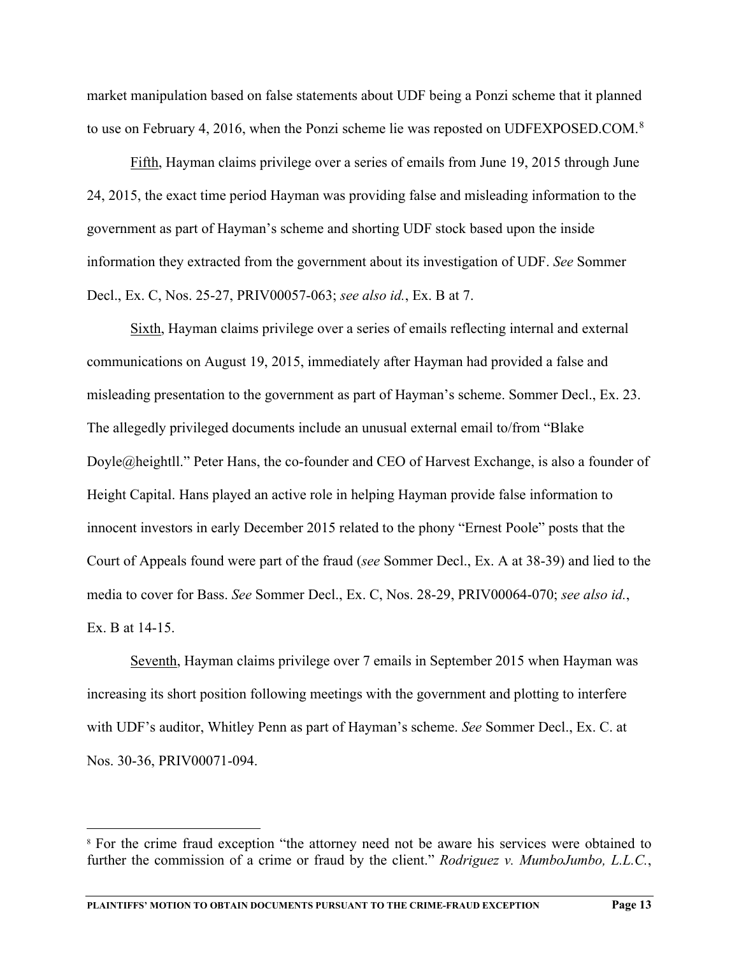market manipulation based on false statements about UDF being a Ponzi scheme that it planned to use on February 4, 2016, when the Ponzi scheme lie was reposted on UDFEXPOSED.COM.<sup>[8](#page-16-0)</sup>

Fifth, Hayman claims privilege over a series of emails from June 19, 2015 through June 24, 2015, the exact time period Hayman was providing false and misleading information to the government as part of Hayman's scheme and shorting UDF stock based upon the inside information they extracted from the government about its investigation of UDF. *See* Sommer Decl., Ex. C, Nos. 25-27, PRIV00057-063; *see also id.*, Ex. B at 7.

Sixth, Hayman claims privilege over a series of emails reflecting internal and external communications on August 19, 2015, immediately after Hayman had provided a false and misleading presentation to the government as part of Hayman's scheme. Sommer Decl., Ex. 23. The allegedly privileged documents include an unusual external email to/from "Blake Doyle@heightll." Peter Hans, the co-founder and CEO of Harvest Exchange, is also a founder of Height Capital. Hans played an active role in helping Hayman provide false information to innocent investors in early December 2015 related to the phony "Ernest Poole" posts that the Court of Appeals found were part of the fraud (*see* Sommer Decl., Ex. A at 38-39) and lied to the media to cover for Bass. *See* Sommer Decl., Ex. C, Nos. 28-29, PRIV00064-070; *see also id.*, Ex. B at 14-15.

Seventh, Hayman claims privilege over 7 emails in September 2015 when Hayman was increasing its short position following meetings with the government and plotting to interfere with UDF's auditor, Whitley Penn as part of Hayman's scheme. *See* Sommer Decl., Ex. C. at Nos. 30-36, PRIV00071-094.

<span id="page-16-0"></span><sup>&</sup>lt;sup>8</sup> For the crime fraud exception "the attorney need not be aware his services were obtained to further the commission of a crime or fraud by the client." *Rodriguez v. MumboJumbo, L.L.C.*,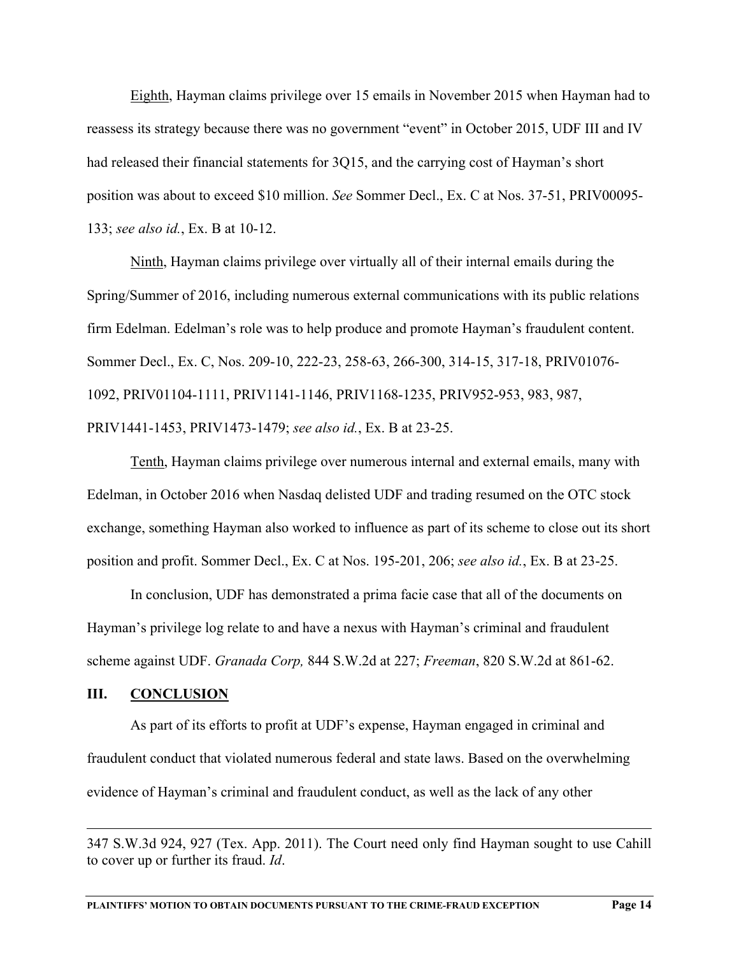Eighth, Hayman claims privilege over 15 emails in November 2015 when Hayman had to reassess its strategy because there was no government "event" in October 2015, UDF III and IV had released their financial statements for 3Q15, and the carrying cost of Hayman's short position was about to exceed \$10 million. *See* Sommer Decl., Ex. C at Nos. 37-51, PRIV00095- 133; *see also id.*, Ex. B at 10-12.

Ninth, Hayman claims privilege over virtually all of their internal emails during the Spring/Summer of 2016, including numerous external communications with its public relations firm Edelman. Edelman's role was to help produce and promote Hayman's fraudulent content. Sommer Decl., Ex. C, Nos. 209-10, 222-23, 258-63, 266-300, 314-15, 317-18, PRIV01076- 1092, PRIV01104-1111, PRIV1141-1146, PRIV1168-1235, PRIV952-953, 983, 987, PRIV1441-1453, PRIV1473-1479; *see also id.*, Ex. B at 23-25.

Tenth, Hayman claims privilege over numerous internal and external emails, many with Edelman, in October 2016 when Nasdaq delisted UDF and trading resumed on the OTC stock exchange, something Hayman also worked to influence as part of its scheme to close out its short position and profit. Sommer Decl., Ex. C at Nos. 195-201, 206; *see also id.*, Ex. B at 23-25.

In conclusion, UDF has demonstrated a prima facie case that all of the documents on Hayman's privilege log relate to and have a nexus with Hayman's criminal and fraudulent scheme against UDF. *Granada Corp,* 844 S.W.2d at 227; *Freeman*, 820 S.W.2d at 861-62.

#### **III. CONCLUSION**

As part of its efforts to profit at UDF's expense, Hayman engaged in criminal and fraudulent conduct that violated numerous federal and state laws. Based on the overwhelming evidence of Hayman's criminal and fraudulent conduct, as well as the lack of any other

<sup>347</sup> S.W.3d 924, 927 (Tex. App. 2011). The Court need only find Hayman sought to use Cahill to cover up or further its fraud. *Id*.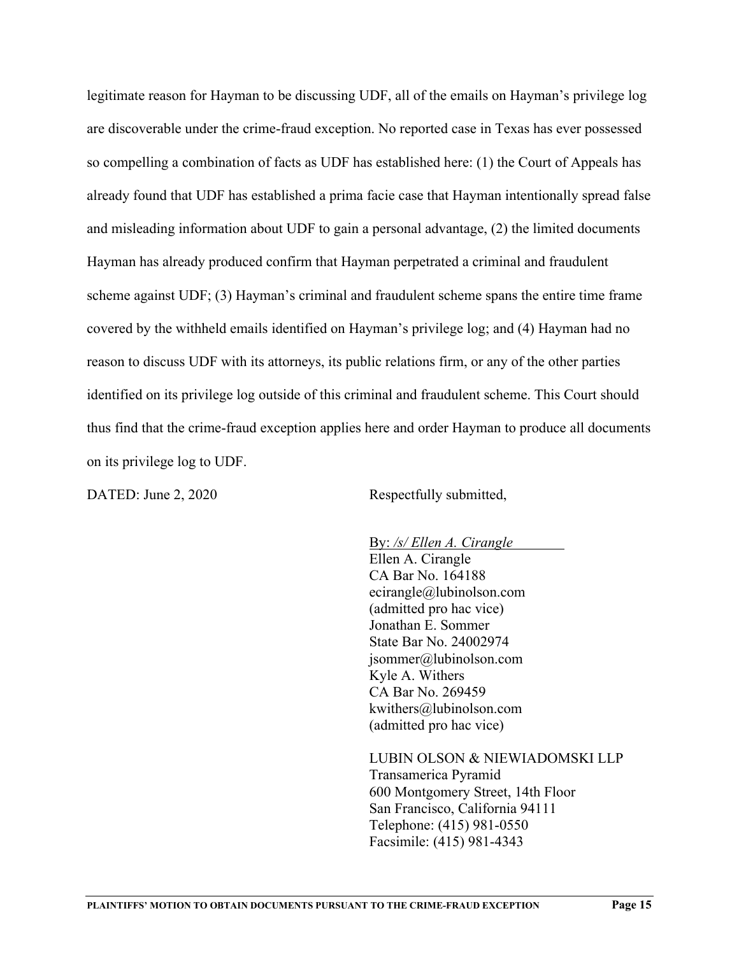legitimate reason for Hayman to be discussing UDF, all of the emails on Hayman's privilege log are discoverable under the crime-fraud exception. No reported case in Texas has ever possessed so compelling a combination of facts as UDF has established here: (1) the Court of Appeals has already found that UDF has established a prima facie case that Hayman intentionally spread false and misleading information about UDF to gain a personal advantage, (2) the limited documents Hayman has already produced confirm that Hayman perpetrated a criminal and fraudulent scheme against UDF; (3) Hayman's criminal and fraudulent scheme spans the entire time frame covered by the withheld emails identified on Hayman's privilege log; and (4) Hayman had no reason to discuss UDF with its attorneys, its public relations firm, or any of the other parties identified on its privilege log outside of this criminal and fraudulent scheme. This Court should thus find that the crime-fraud exception applies here and order Hayman to produce all documents on its privilege log to UDF.

DATED: June 2, 2020 Respectfully submitted,

By: */s/ Ellen A. Cirangle* Ellen A. Cirangle CA Bar No. 164188 ecirangle@lubinolson.com (admitted pro hac vice) Jonathan E. Sommer State Bar No. 24002974 jsommer@lubinolson.com Kyle A. Withers CA Bar No. 269459 kwithers@lubinolson.com (admitted pro hac vice)

LUBIN OLSON & NIEWIADOMSKI LLP Transamerica Pyramid 600 Montgomery Street, 14th Floor San Francisco, California 94111 Telephone: (415) 981-0550 Facsimile: (415) 981-4343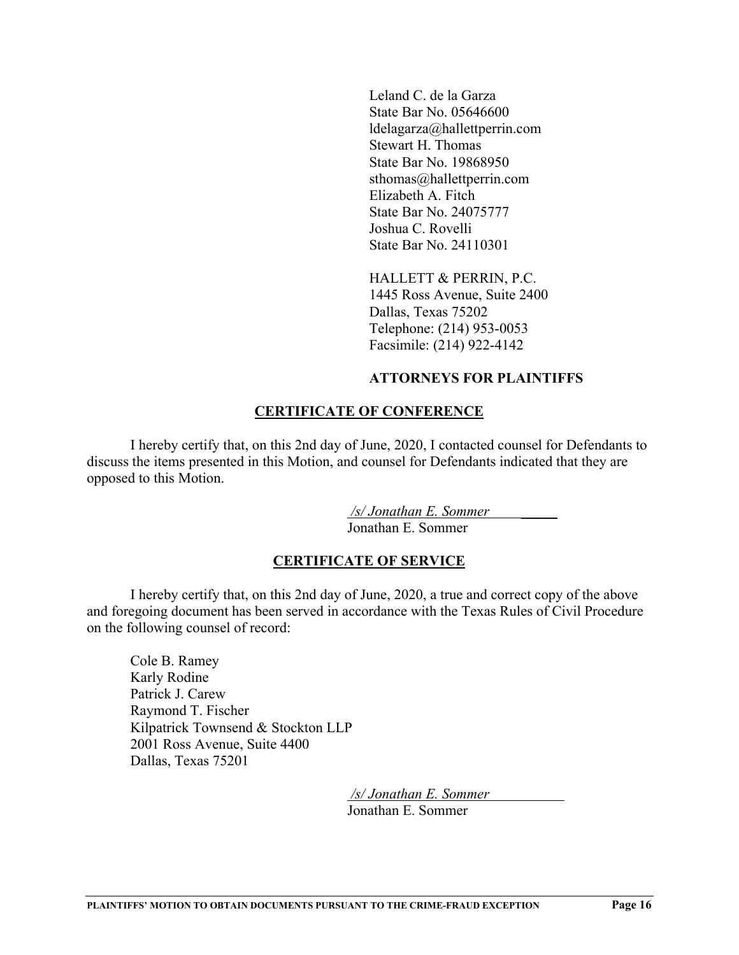Leland C. de la Garza State Bar No. 05646600 ldelagarza@hallettperrin.com Stewart H. Thomas State Bar No. 19868950 sthomas@hallettperrin.com Elizabeth A. Fitch State Bar No. 24075777 Joshua C. Rovelli State Bar No. 24110301

HALLETT & PERRIN, P.C. 1445 Ross Avenue, Suite 2400 Dallas, Texas 75202 Telephone: (214) 953-0053 Facsimile: (214) 922-4142

#### **ATTORNEYS FOR PLAINTIFFS**

## **CERTIFICATE OF CONFERENCE**

I hereby certify that, on this 2nd day of June, 2020, I contacted counsel for Defendants to discuss the items presented in this Motion, and counsel for Defendants indicated that they are opposed to this Motion.

> */s/ Jonathan E. Sommer \_\_\_\_\_* Jonathan E. Sommer

## **CERTIFICATE OF SERVICE**

I hereby certify that, on this 2nd day of June, 2020, a true and correct copy of the above and foregoing document has been served in accordance with the Texas Rules of Civil Procedure on the following counsel of record:

Cole B. Ramey Karly Rodine Patrick J. Carew Raymond T. Fischer Kilpatrick Townsend & Stockton LLP 2001 Ross Avenue, Suite 4400 Dallas, Texas 75201

> */s/ Jonathan E. Sommer* Jonathan E. Sommer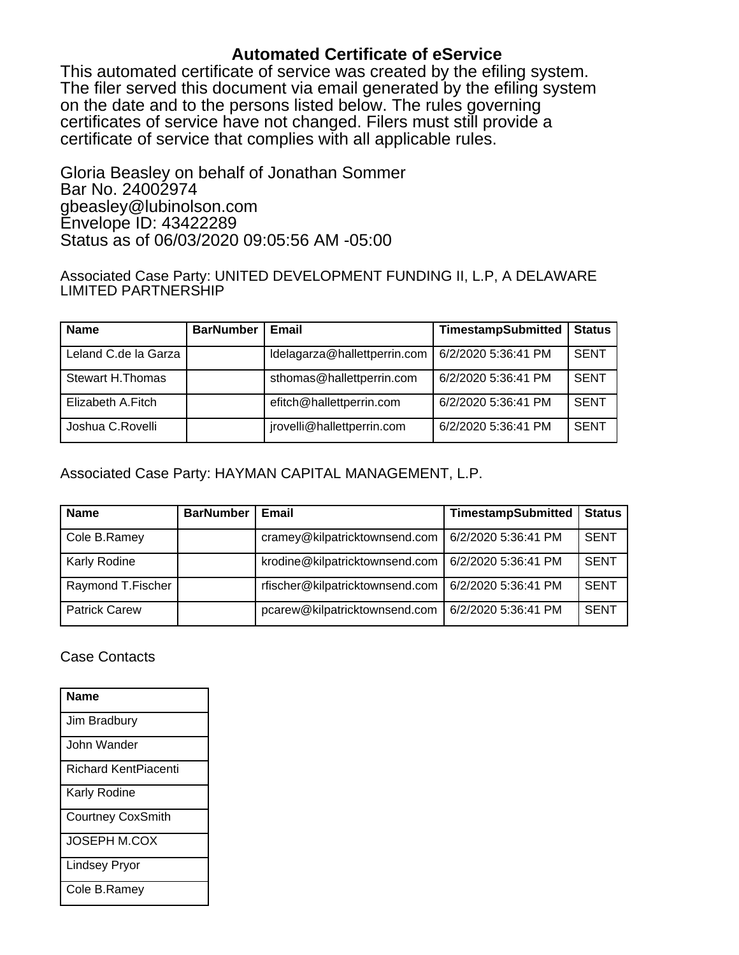# **Automated Certificate of eService**

This automated certificate of service was created by the efiling system. The filer served this document via email generated by the efiling system on the date and to the persons listed below. The rules governing certificates of service have not changed. Filers must still provide a certificate of service that complies with all applicable rules.

Gloria Beasley on behalf of Jonathan Sommer Bar No. 24002974 gbeasley@lubinolson.com Envelope ID: 43422289 Status as of 06/03/2020 09:05:56 AM -05:00

Associated Case Party: UNITED DEVELOPMENT FUNDING II, L.P, A DELAWARE LIMITED PARTNERSHIP

| <b>Name</b>             | <b>BarNumber</b> | Email                        | <b>TimestampSubmitted</b> | <b>Status</b> |
|-------------------------|------------------|------------------------------|---------------------------|---------------|
| Leland C.de la Garza    |                  | Idelagarza@hallettperrin.com | 6/2/2020 5:36:41 PM       | <b>SENT</b>   |
| <b>Stewart H.Thomas</b> |                  | sthomas@hallettperrin.com    | 6/2/2020 5:36:41 PM       | <b>SENT</b>   |
| Elizabeth A.Fitch       |                  | efitch@hallettperrin.com     | 6/2/2020 5:36:41 PM       | <b>SENT</b>   |
| Joshua C.Rovelli        |                  | jrovelli@hallettperrin.com   | 6/2/2020 5:36:41 PM       | <b>SENT</b>   |

Associated Case Party: HAYMAN CAPITAL MANAGEMENT, L.P.

| <b>Name</b>          | <b>BarNumber</b> | Email                           | <b>TimestampSubmitted</b> | <b>Status</b> |
|----------------------|------------------|---------------------------------|---------------------------|---------------|
| Cole B.Ramey         |                  | cramey@kilpatricktownsend.com   | 6/2/2020 5:36:41 PM       | <b>SENT</b>   |
| Karly Rodine         |                  | krodine@kilpatricktownsend.com  | 6/2/2020 5:36:41 PM       | <b>SENT</b>   |
| Raymond T.Fischer    |                  | rfischer@kilpatricktownsend.com | 6/2/2020 5:36:41 PM       | <b>SENT</b>   |
| <b>Patrick Carew</b> |                  | pcarew@kilpatricktownsend.com   | 6/2/2020 5:36:41 PM       | <b>SENT</b>   |

## Case Contacts

| Name                        |
|-----------------------------|
| Jim Bradbury                |
| John Wander                 |
| <b>Richard KentPiacenti</b> |
| Karly Rodine                |
| <b>Courtney CoxSmith</b>    |
| <b>JOSEPH M.COX</b>         |
| <b>Lindsey Pryor</b>        |
| Cole B.Ramey                |